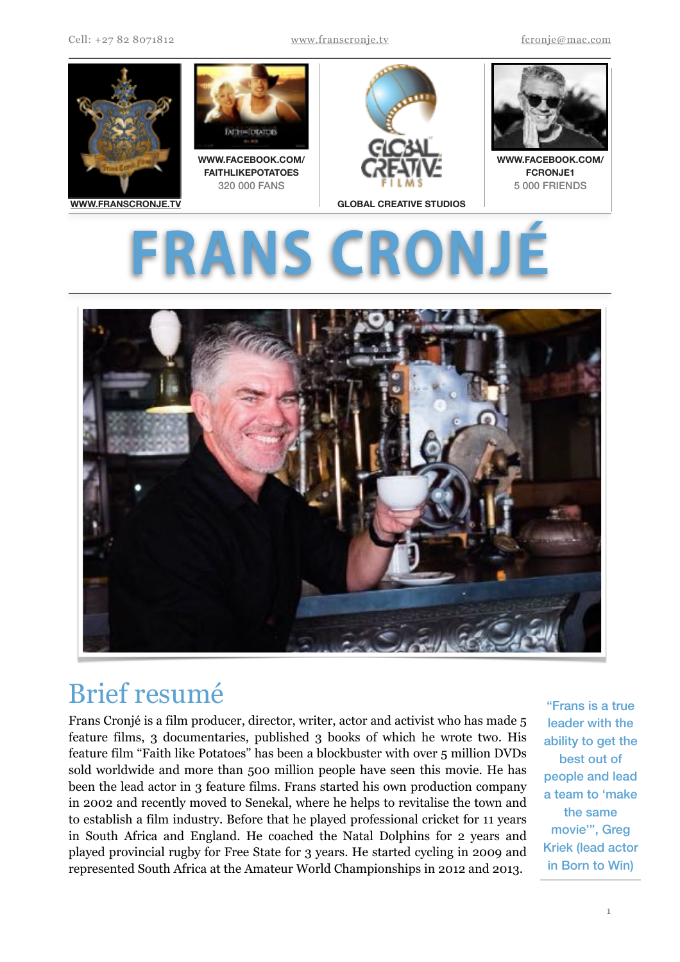

# **ERON**



# Brief resumé

Frans Cronjé is a film producer, director, writer, actor and activist who has made 5 feature films, 3 documentaries, published 3 books of which he wrote two. His feature film "Faith like Potatoes" has been a blockbuster with over 5 million DVDs sold worldwide and more than 500 million people have seen this movie. He has been the lead actor in 3 feature films. Frans started his own production company in 2002 and recently moved to Senekal, where he helps to revitalise the town and to establish a film industry. Before that he played professional cricket for 11 years in South Africa and England. He coached the Natal Dolphins for 2 years and played provincial rugby for Free State for 3 years. He started cycling in 2009 and represented South Africa at the Amateur World Championships in 2012 and 2013.

"Frans is a true leader with the ability to get the best out of people and lead a team to 'make the same movie'", Greg Kriek (lead actor in Born to Win)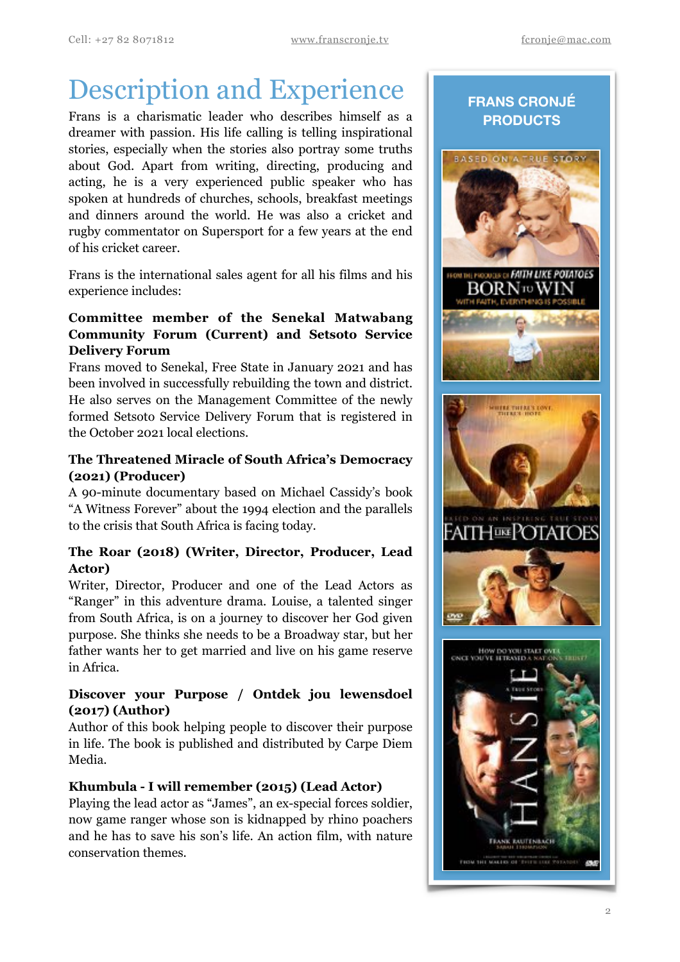# Description and Experience

Frans is a charismatic leader who describes himself as a dreamer with passion. His life calling is telling inspirational stories, especially when the stories also portray some truths about God. Apart from writing, directing, producing and acting, he is a very experienced public speaker who has spoken at hundreds of churches, schools, breakfast meetings and dinners around the world. He was also a cricket and rugby commentator on Supersport for a few years at the end of his cricket career.

Frans is the international sales agent for all his films and his experience includes:

# **Committee member of the Senekal Matwabang Community Forum (Current) and Setsoto Service Delivery Forum**

Frans moved to Senekal, Free State in January 2021 and has been involved in successfully rebuilding the town and district. He also serves on the Management Committee of the newly formed Setsoto Service Delivery Forum that is registered in the October 2021 local elections.

# **The Threatened Miracle of South Africa's Democracy (2021) (Producer)**

A 90-minute documentary based on Michael Cassidy's book "A Witness Forever" about the 1994 election and the parallels to the crisis that South Africa is facing today.

# **The Roar (2018) (Writer, Director, Producer, Lead Actor)**

Writer, Director, Producer and one of the Lead Actors as "Ranger" in this adventure drama. Louise, a talented singer from South Africa, is on a journey to discover her God given purpose. She thinks she needs to be a Broadway star, but her father wants her to get married and live on his game reserve in Africa.

# **Discover your Purpose / Ontdek jou lewensdoel (2017) (Author)**

Author of this book helping people to discover their purpose in life. The book is published and distributed by Carpe Diem Media.

# **Khumbula - I will remember (2015) (Lead Actor)**

Playing the lead actor as "James", an ex-special forces soldier, now game ranger whose son is kidnapped by rhino poachers and he has to save his son's life. An action film, with nature conservation themes.

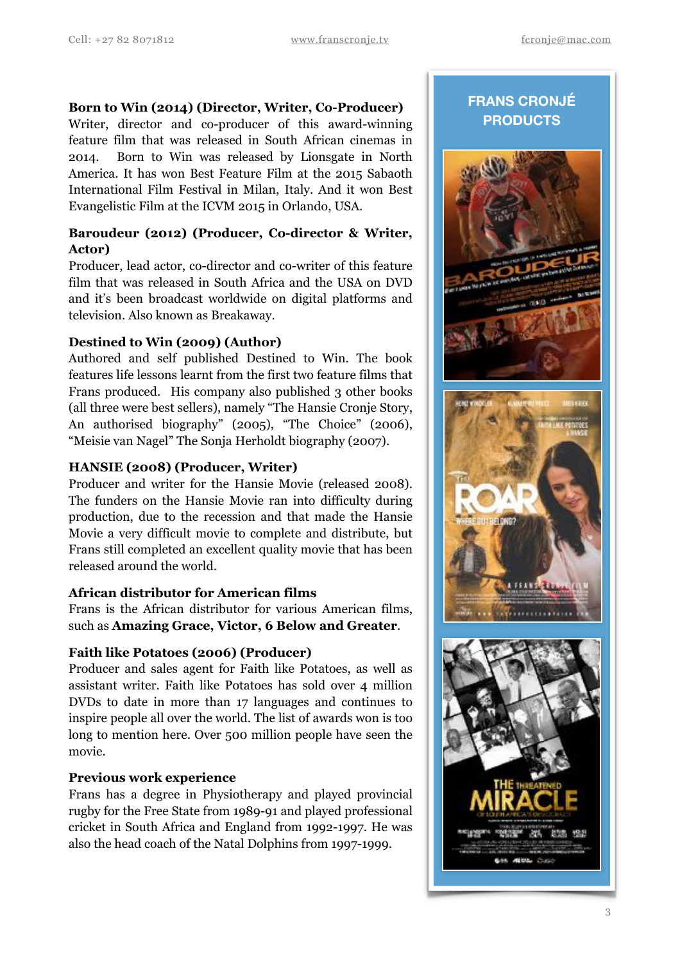#### **Born to Win (2014) (Director, Writer, Co-Producer)**

Writer, director and co-producer of this award-winning feature film that was released in South African cinemas in 2014. Born to Win was released by Lionsgate in North America. It has won Best Feature Film at the 2015 Sabaoth International Film Festival in Milan, Italy. And it won Best Evangelistic Film at the ICVM 2015 in Orlando, USA.

### **Baroudeur (2012) (Producer, Co-director & Writer, Actor)**

Producer, lead actor, co-director and co-writer of this feature film that was released in South Africa and the USA on DVD and it's been broadcast worldwide on digital platforms and television. Also known as Breakaway.

#### **Destined to Win (2009) (Author)**

Authored and self published Destined to Win. The book features life lessons learnt from the first two feature films that Frans produced. His company also published 3 other books (all three were best sellers), namely "The Hansie Cronje Story, An authorised biography" (2005), "The Choice" (2006), "Meisie van Nagel" The Sonja Herholdt biography (2007).

#### **HANSIE (2008) (Producer, Writer)**

Producer and writer for the Hansie Movie (released 2008). The funders on the Hansie Movie ran into difficulty during production, due to the recession and that made the Hansie Movie a very difficult movie to complete and distribute, but Frans still completed an excellent quality movie that has been released around the world.

#### **African distributor for American films**

Frans is the African distributor for various American films, such as **Amazing Grace, Victor, 6 Below and Greater**.

#### **Faith like Potatoes (2006) (Producer)**

Producer and sales agent for Faith like Potatoes, as well as assistant writer. Faith like Potatoes has sold over 4 million DVDs to date in more than 17 languages and continues to inspire people all over the world. The list of awards won is too long to mention here. Over 500 million people have seen the movie.

#### **Previous work experience**

Frans has a degree in Physiotherapy and played provincial rugby for the Free State from 1989-91 and played professional cricket in South Africa and England from 1992-1997. He was also the head coach of the Natal Dolphins from 1997-1999.